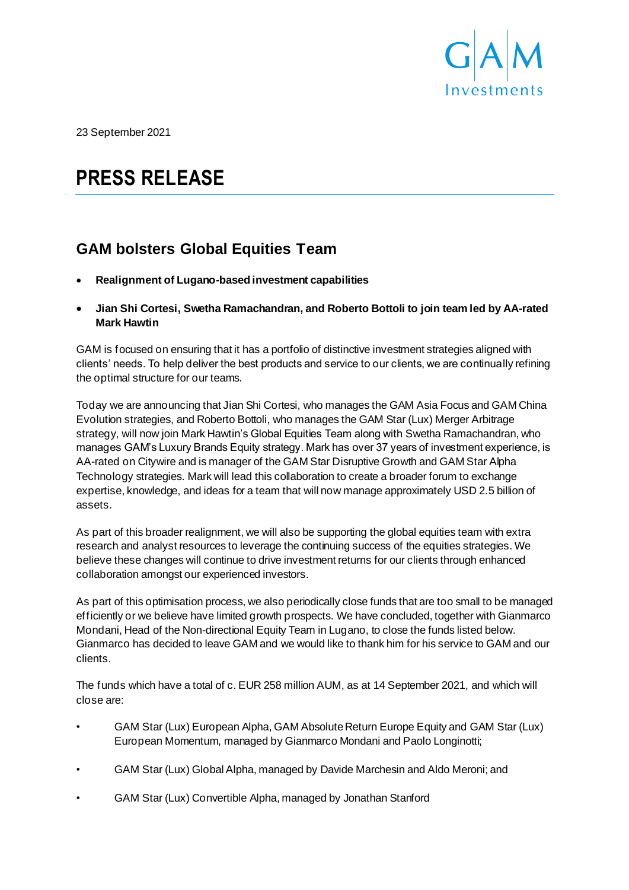

23 September 2021

# **PRESS RELEASE**

## **GAM bolsters Global Equities Team**

- **Realignment of Lugano-based investment capabilities**
- **Jian Shi Cortesi, Swetha Ramachandran, and Roberto Bottoli to join team led by AA-rated Mark Hawtin**

GAM is focused on ensuring that it has a portfolio of distinctive investment strategies aligned with clients' needs. To help deliver the best products and service to our clients, we are continually refining the optimal structure for our teams.

Today we are announcing that Jian Shi Cortesi, who manages the GAM Asia Focus and GAM China Evolution strategies, and Roberto Bottoli, who manages the GAM Star (Lux) Merger Arbitrage strategy, will now join Mark Hawtin's Global Equities Team along with Swetha Ramachandran, who manages GAM's Luxury Brands Equity strategy. Mark has over 37 years of investment experience, is AA-rated on Citywire and is manager of the GAM Star Disruptive Growth and GAM Star Alpha Technology strategies. Mark will lead this collaboration to create a broader forum to exchange expertise, knowledge, and ideas for a team that will now manage approximately USD 2.5 billion of assets.

As part of this broader realignment, we will also be supporting the global equities team with extra research and analyst resources to leverage the continuing success of the equities strategies. We believe these changes will continue to drive investment returns for our clients through enhanced collaboration amongst our experienced investors.

As part of this optimisation process, we also periodically close funds that are too small to be managed efficiently or we believe have limited growth prospects. We have concluded, together with Gianmarco Mondani, Head of the Non-directional Equity Team in Lugano, to close the funds listed below. Gianmarco has decided to leave GAM and we would like to thank him for his service to GAM and our clients.

The funds which have a total of c. EUR 258 million AUM, as at 14 September 2021, and which will close are:

- GAM Star (Lux) European Alpha, GAM Absolute Return Europe Equity and GAM Star (Lux) European Momentum, managed by Gianmarco Mondani and Paolo Longinotti;
- GAM Star (Lux) Global Alpha, managed by Davide Marchesin and Aldo Meroni; and
- GAM Star (Lux) Convertible Alpha, managed by Jonathan Stanford